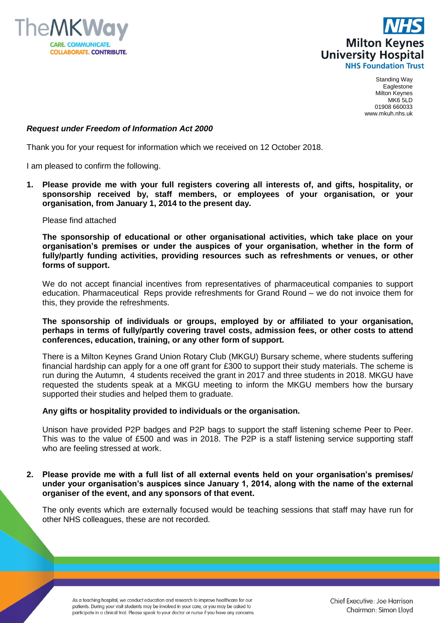



Standing Way Eaglestone Milton Keynes MK6 5LD 01908 660033 www.mkuh.nhs.uk

## *Request under Freedom of Information Act 2000*

Thank you for your request for information which we received on 12 October 2018.

I am pleased to confirm the following.

**1. Please provide me with your full registers covering all interests of, and gifts, hospitality, or sponsorship received by, staff members, or employees of your organisation, or your organisation, from January 1, 2014 to the present day.**

Please find attached

**The sponsorship of educational or other organisational activities, which take place on your organisation's premises or under the auspices of your organisation, whether in the form of fully/partly funding activities, providing resources such as refreshments or venues, or other forms of support.**

We do not accept financial incentives from representatives of pharmaceutical companies to support education. Pharmaceutical Reps provide refreshments for Grand Round – we do not invoice them for this, they provide the refreshments.

**The sponsorship of individuals or groups, employed by or affiliated to your organisation, perhaps in terms of fully/partly covering travel costs, admission fees, or other costs to attend conferences, education, training, or any other form of support.**

There is a Milton Keynes Grand Union Rotary Club (MKGU) Bursary scheme, where students suffering financial hardship can apply for a one off grant for £300 to support their study materials. The scheme is run during the Autumn, 4 students received the grant in 2017 and three students in 2018. MKGU have requested the students speak at a MKGU meeting to inform the MKGU members how the bursary supported their studies and helped them to graduate.

## **Any gifts or hospitality provided to individuals or the organisation.**

Unison have provided P2P badges and P2P bags to support the staff listening scheme Peer to Peer. This was to the value of £500 and was in 2018. The P2P is a staff listening service supporting staff who are feeling stressed at work.

**2. Please provide me with a full list of all external events held on your organisation's premises/ under your organisation's auspices since January 1, 2014, along with the name of the external organiser of the event, and any sponsors of that event.**

The only events which are externally focused would be teaching sessions that staff may have run for other NHS colleagues, these are not recorded.

As a teaching hospital, we conduct education and research to improve healthcare for our patients. During your visit students may be involved in your care, or you may be asked to participate in a clinical trial. Please speak to your doctor or nurse if you have any concerns.